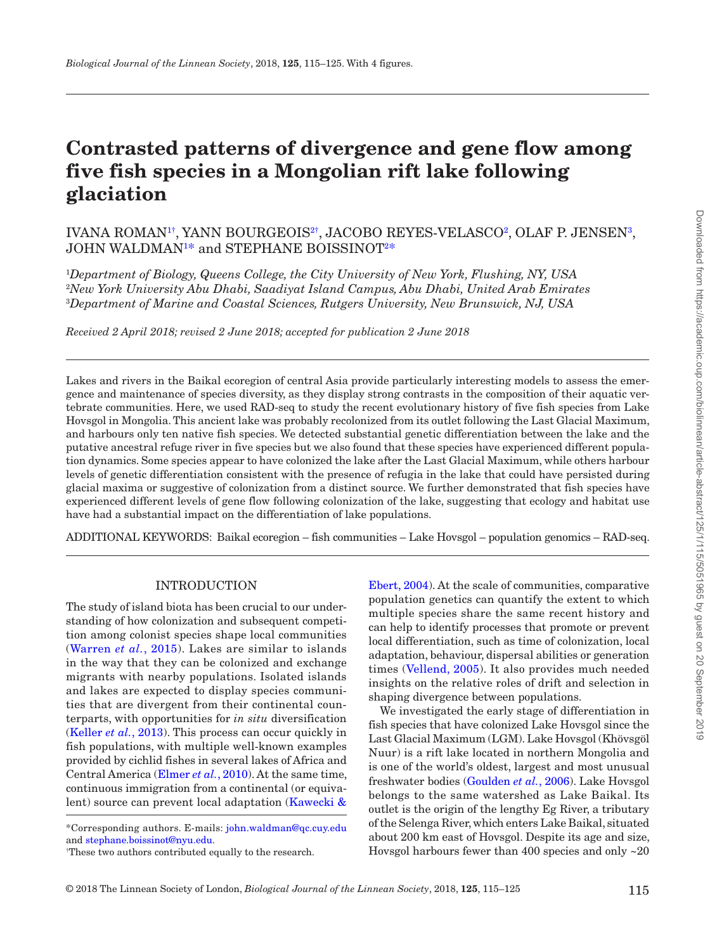# **Contrasted patterns of divergence and gene flow among five fish species in a Mongolian rift lake following glaciation**

## IVANA ROMAN[1](#page-0-0)[†](#page-0-1) , YANN BOURGEOI[S2](#page-0-2)[†](#page-0-1) , JACOBO REYES-VELASCO[2](#page-0-2) , OLAF P. JENSEN[3](#page-0-3) , JOHN WALDMA[N1](#page-0-0) [\\*](#page-0-4) and STEPHANE BOISSINO[T2](#page-0-2) [\\*](#page-0-4)

<span id="page-0-3"></span><span id="page-0-2"></span><span id="page-0-0"></span>1 *Department of Biology, Queens College, the City University of New York, Flushing, NY, USA* 2 *New York University Abu Dhabi, Saadiyat Island Campus, Abu Dhabi, United Arab Emirates* 3 *Department of Marine and Coastal Sciences, Rutgers University, New Brunswick, NJ, USA*

*Received 2 April 2018; revised 2 June 2018; accepted for publication 2 June 2018*

Lakes and rivers in the Baikal ecoregion of central Asia provide particularly interesting models to assess the emergence and maintenance of species diversity, as they display strong contrasts in the composition of their aquatic vertebrate communities. Here, we used RAD-seq to study the recent evolutionary history of five fish species from Lake Hovsgol in Mongolia. This ancient lake was probably recolonized from its outlet following the Last Glacial Maximum, and harbours only ten native fish species. We detected substantial genetic differentiation between the lake and the putative ancestral refuge river in five species but we also found that these species have experienced different population dynamics. Some species appear to have colonized the lake after the Last Glacial Maximum, while others harbour levels of genetic differentiation consistent with the presence of refugia in the lake that could have persisted during glacial maxima or suggestive of colonization from a distinct source. We further demonstrated that fish species have experienced different levels of gene flow following colonization of the lake, suggesting that ecology and habitat use have had a substantial impact on the differentiation of lake populations.

ADDITIONAL KEYWORDS: Baikal ecoregion – fish communities – Lake Hovsgol – population genomics – RAD-seq.

#### INTRODUCTION

The study of island biota has been crucial to our understanding of how colonization and subsequent competition among colonist species shape local communities ([Warren](#page-10-0) *et al.*, 2015). Lakes are similar to islands in the way that they can be colonized and exchange migrants with nearby populations. Isolated islands and lakes are expected to display species communities that are divergent from their continental counterparts, with opportunities for *in situ* diversification [\(Keller](#page-10-1) *et al.*, 2013). This process can occur quickly in fish populations, with multiple well-known examples provided by cichlid fishes in several lakes of Africa and Central America ([Elmer](#page-9-0) *et al.*, 2010). At the same time, continuous immigration from a continental (or equivalent) source can prevent local adaptation ([Kawecki &](#page-10-2)

<span id="page-0-4"></span>\*Corresponding authors. E-mails: [john.waldman@qc.cuy.edu](mailto:john.waldman@qc.cuy.edu?subject=) and [stephane.boissinot@nyu.edu.](mailto:stephane.boissinot@nyu.edu?subject=)

<span id="page-0-1"></span>† These two authors contributed equally to the research.

[Ebert, 2004\)](#page-10-2). At the scale of communities, comparative population genetics can quantify the extent to which multiple species share the same recent history and can help to identify processes that promote or prevent local differentiation, such as time of colonization, local adaptation, behaviour, dispersal abilities or generation times [\(Vellend, 2005](#page-10-3)). It also provides much needed insights on the relative roles of drift and selection in shaping divergence between populations.

We investigated the early stage of differentiation in fish species that have colonized Lake Hovsgol since the Last Glacial Maximum (LGM). Lake Hovsgol (Khövsgöl Nuur) is a rift lake located in northern Mongolia and is one of the world's oldest, largest and most unusual freshwater bodies [\(Goulden](#page-9-1) *et al.*, 2006). Lake Hovsgol belongs to the same watershed as Lake Baikal. Its outlet is the origin of the lengthy Eg River, a tributary of the Selenga River, which enters Lake Baikal, situated about 200 km east of Hovsgol. Despite its age and size, Hovsgol harbours fewer than 400 species and only ~20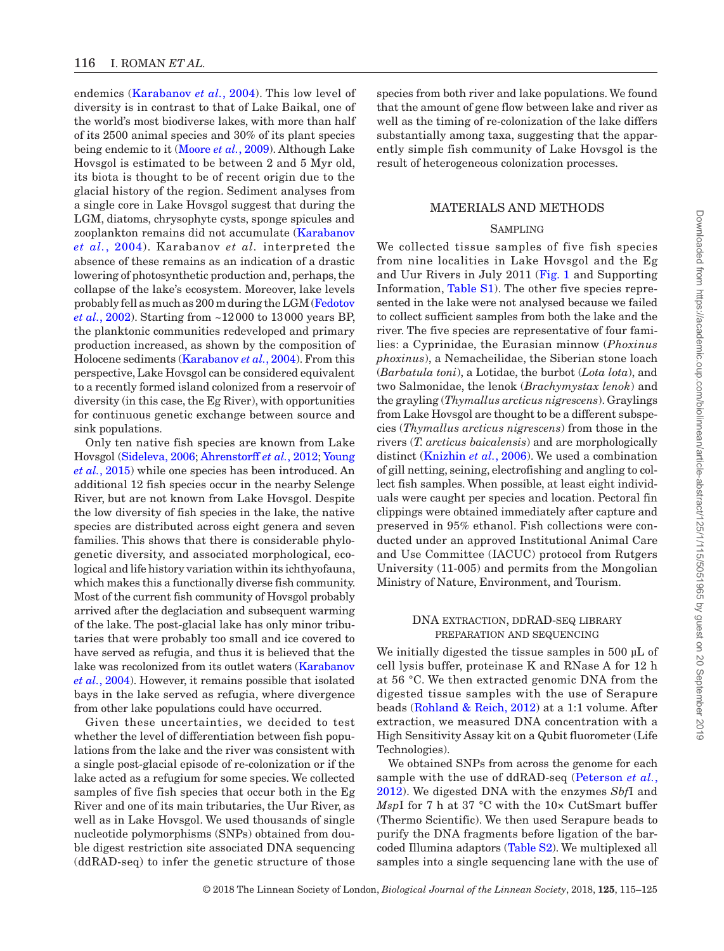endemics ([Karabanov](#page-9-2) *et al.*, 2004). This low level of diversity is in contrast to that of Lake Baikal, one of the world's most biodiverse lakes, with more than half of its 2500 animal species and 30% of its plant species being endemic to it ([Moore](#page-10-4) *et al.*, 2009). Although Lake Hovsgol is estimated to be between 2 and 5 Myr old, its biota is thought to be of recent origin due to the glacial history of the region. Sediment analyses from a single core in Lake Hovsgol suggest that during the LGM, diatoms, chrysophyte cysts, sponge spicules and zooplankton remains did not accumulate [\(Karabanov](#page-9-2) *et al.*[, 2004\)](#page-9-2). Karabanov *et al.* interpreted the absence of these remains as an indication of a drastic lowering of photosynthetic production and, perhaps, the collapse of the lake's ecosystem. Moreover, lake levels probably fell as much as 200 m during the LGM ([Fedotov](#page-9-3) *et al.*[, 2002](#page-9-3)). Starting from ~12000 to 13000 years BP, the planktonic communities redeveloped and primary production increased, as shown by the composition of Holocene sediments ([Karabanov](#page-9-2) *et al.*, 2004). From this perspective, Lake Hovsgol can be considered equivalent to a recently formed island colonized from a reservoir of diversity (in this case, the Eg River), with opportunities for continuous genetic exchange between source and sink populations.

Only ten native fish species are known from Lake Hovsgol [\(Sideleva, 2006;](#page-10-5) [Ahrenstorff](#page-9-4) *et al.*, 2012; [Young](#page-10-6)  *et al.*[, 2015](#page-10-6)) while one species has been introduced. An additional 12 fish species occur in the nearby Selenge River, but are not known from Lake Hovsgol. Despite the low diversity of fish species in the lake, the native species are distributed across eight genera and seven families. This shows that there is considerable phylogenetic diversity, and associated morphological, ecological and life history variation within its ichthyofauna, which makes this a functionally diverse fish community. Most of the current fish community of Hovsgol probably arrived after the deglaciation and subsequent warming of the lake. The post-glacial lake has only minor tributaries that were probably too small and ice covered to have served as refugia, and thus it is believed that the lake was recolonized from its outlet waters ([Karabanov](#page-9-2) *et al.*[, 2004\)](#page-9-2). However, it remains possible that isolated bays in the lake served as refugia, where divergence from other lake populations could have occurred.

Given these uncertainties, we decided to test whether the level of differentiation between fish populations from the lake and the river was consistent with a single post-glacial episode of re-colonization or if the lake acted as a refugium for some species. We collected samples of five fish species that occur both in the Eg River and one of its main tributaries, the Uur River, as well as in Lake Hovsgol. We used thousands of single nucleotide polymorphisms (SNPs) obtained from double digest restriction site associated DNA sequencing (ddRAD-seq) to infer the genetic structure of those species from both river and lake populations. We found that the amount of gene flow between lake and river as well as the timing of re-colonization of the lake differs substantially among taxa, suggesting that the apparently simple fish community of Lake Hovsgol is the result of heterogeneous colonization processes.

## MATERIALS AND METHODS

#### **SAMPLING**

We collected tissue samples of five fish species from nine localities in Lake Hovsgol and the Eg and Uur Rivers in July 2011 ([Fig.](#page-2-0) 1 and Supporting Information, [Table](http://academic.oup.com/biolinnean/article-lookup/doi/10.1093/biolinnean/bly083#supplementary-data) S1). The other five species represented in the lake were not analysed because we failed to collect sufficient samples from both the lake and the river. The five species are representative of four families: a Cyprinidae, the Eurasian minnow (*Phoxinus phoxinus*), a Nemacheilidae, the Siberian stone loach (*Barbatula toni*), a Lotidae, the burbot (*Lota lota*), and two Salmonidae, the lenok (*Brachymystax lenok*) and the grayling (*Thymallus arcticus nigrescens*). Graylings from Lake Hovsgol are thought to be a different subspecies (*Thymallus arcticus nigrescens*) from those in the rivers (*T. arcticus baicalensis*) and are morphologically distinct ([Knizhin](#page-10-7) *et al.*, 2006). We used a combination of gill netting, seining, electrofishing and angling to collect fish samples. When possible, at least eight individuals were caught per species and location. Pectoral fin clippings were obtained immediately after capture and preserved in 95% ethanol. Fish collections were conducted under an approved Institutional Animal Care and Use Committee (IACUC) protocol from Rutgers University (11-005) and permits from the Mongolian Ministry of Nature, Environment, and Tourism.

## DNA extraction, ddRAD-seq library preparation and sequencing

We initially digested the tissue samples in 500 µL of cell lysis buffer, proteinase K and RNase A for 12 h at 56 °C. We then extracted genomic DNA from the digested tissue samples with the use of Serapure beads ([Rohland & Reich, 2012\)](#page-10-8) at a 1:1 volume. After extraction, we measured DNA concentration with a High Sensitivity Assay kit on a Qubit fluorometer (Life Technologies).

We obtained SNPs from across the genome for each sample with the use of ddRAD-seq ([Peterson](#page-10-9) *et al.*, [2012](#page-10-9)). We digested DNA with the enzymes *Sbf*I and *MspI* for 7 h at 37 °C with the 10× CutSmart buffer (Thermo Scientific). We then used Serapure beads to purify the DNA fragments before ligation of the barcoded Illumina adaptors ([Table](http://academic.oup.com/biolinnean/article-lookup/doi/10.1093/biolinnean/bly083#supplementary-data) S2). We multiplexed all samples into a single sequencing lane with the use of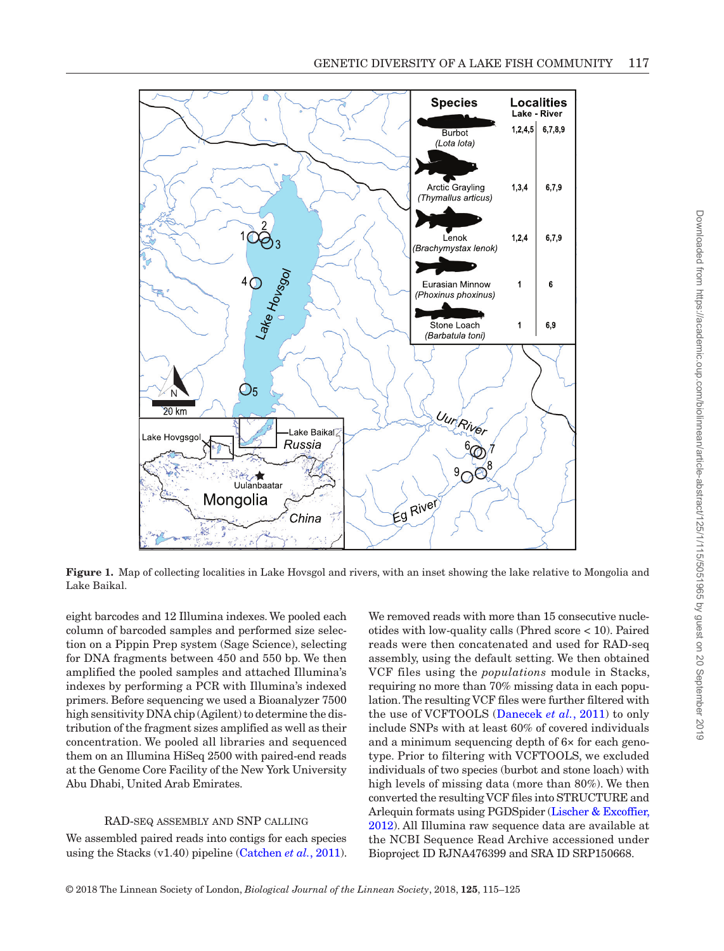

<span id="page-2-0"></span>**Figure 1.** Map of collecting localities in Lake Hovsgol and rivers, with an inset showing the lake relative to Mongolia and Lake Baikal.

eight barcodes and 12 Illumina indexes. We pooled each column of barcoded samples and performed size selection on a Pippin Prep system (Sage Science), selecting for DNA fragments between 450 and 550 bp. We then amplified the pooled samples and attached Illumina's indexes by performing a PCR with Illumina's indexed primers. Before sequencing we used a Bioanalyzer 7500 high sensitivity DNA chip (Agilent) to determine the distribution of the fragment sizes amplified as well as their concentration. We pooled all libraries and sequenced them on an Illumina HiSeq 2500 with paired-end reads at the Genome Core Facility of the New York University Abu Dhabi, United Arab Emirates.

#### RAD-seq assembly and SNP calling

We assembled paired reads into contigs for each species using the Stacks (v1.40) pipeline [\(Catchen](#page-9-5) *et al.*, 2011).

We removed reads with more than 15 consecutive nucleotides with low-quality calls (Phred score < 10). Paired reads were then concatenated and used for RAD-seq assembly, using the default setting. We then obtained VCF files using the *populations* module in Stacks, requiring no more than 70% missing data in each population. The resulting VCF files were further filtered with the use of VCFTOOLS ([Danecek](#page-9-6) *et al.*, 2011) to only include SNPs with at least 60% of covered individuals and a minimum sequencing depth of 6× for each genotype. Prior to filtering with VCFTOOLS, we excluded individuals of two species (burbot and stone loach) with high levels of missing data (more than 80%). We then converted the resulting VCF files into STRUCTURE and Arlequin formats using PGDSpider ([Lischer & Excoffier,](#page-10-10) [2012\)](#page-10-10). All Illumina raw sequence data are available at the NCBI Sequence Read Archive accessioned under Bioproject ID RJNA476399 and SRA ID SRP150668.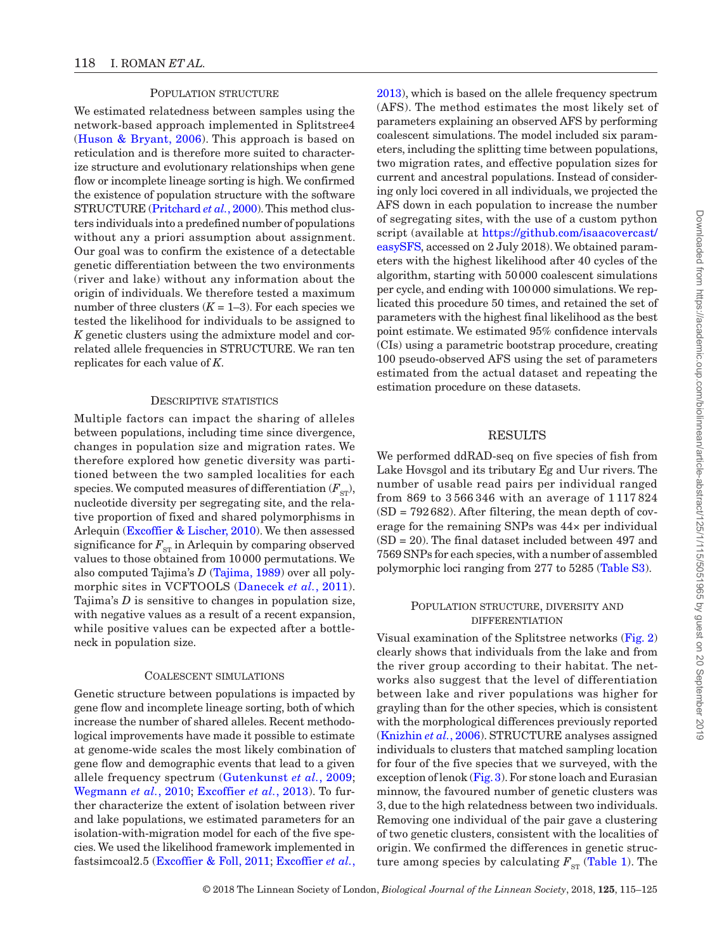### POPULATION STRUCTURE

We estimated relatedness between samples using the network-based approach implemented in Splitstree4 [\(Huson & Bryant, 2006\)](#page-9-7). This approach is based on reticulation and is therefore more suited to characterize structure and evolutionary relationships when gene flow or incomplete lineage sorting is high. We confirmed the existence of population structure with the software STRUCTURE [\(Pritchard](#page-10-11) *et al.*, 2000). This method clusters individuals into a predefined number of populations without any a priori assumption about assignment. Our goal was to confirm the existence of a detectable genetic differentiation between the two environments (river and lake) without any information about the origin of individuals. We therefore tested a maximum number of three clusters  $(K = 1-3)$ . For each species we tested the likelihood for individuals to be assigned to *K* genetic clusters using the admixture model and correlated allele frequencies in STRUCTURE. We ran ten replicates for each value of *K*.

#### DESCRIPTIVE STATISTICS

Multiple factors can impact the sharing of alleles between populations, including time since divergence, changes in population size and migration rates. We therefore explored how genetic diversity was partitioned between the two sampled localities for each species. We computed measures of differentiation  $(F_{\rm ST})$ , nucleotide diversity per segregating site, and the relative proportion of fixed and shared polymorphisms in Arlequin [\(Excoffier & Lischer, 2010\)](#page-9-8). We then assessed significance for  $F_{ST}$  in Arlequin by comparing observed values to those obtained from 10000 permutations. We also computed Tajima's *D* ([Tajima, 1989\)](#page-10-12) over all polymorphic sites in VCFTOOLS ([Danecek](#page-9-6) *et al.*, 2011). Tajima's *D* is sensitive to changes in population size, with negative values as a result of a recent expansion, while positive values can be expected after a bottleneck in population size.

#### Coalescent simulations

Genetic structure between populations is impacted by gene flow and incomplete lineage sorting, both of which increase the number of shared alleles. Recent methodological improvements have made it possible to estimate at genome-wide scales the most likely combination of gene flow and demographic events that lead to a given allele frequency spectrum ([Gutenkunst](#page-9-9) *et al.*, 2009; [Wegmann](#page-10-13) *et al.*, 2010; [Excoffier](#page-9-10) *et al.*, 2013). To further characterize the extent of isolation between river and lake populations, we estimated parameters for an isolation-with-migration model for each of the five species. We used the likelihood framework implemented in fastsimcoal2.5 ([Excoffier & Foll, 2011](#page-9-11); [Excoffier](#page-9-10) *et al.*, [2013](#page-9-10)), which is based on the allele frequency spectrum (AFS). The method estimates the most likely set of parameters explaining an observed AFS by performing coalescent simulations. The model included six parameters, including the splitting time between populations, two migration rates, and effective population sizes for current and ancestral populations. Instead of considering only loci covered in all individuals, we projected the AFS down in each population to increase the number of segregating sites, with the use of a custom python script (available at [https://github.com/isaacovercast/](https://github.com/isaacovercast/easySFS) [easySFS](https://github.com/isaacovercast/easySFS), accessed on 2 July 2018). We obtained parameters with the highest likelihood after 40 cycles of the algorithm, starting with 50000 coalescent simulations per cycle, and ending with 100000 simulations. We replicated this procedure 50 times, and retained the set of parameters with the highest final likelihood as the best point estimate. We estimated 95% confidence intervals (CIs) using a parametric bootstrap procedure, creating 100 pseudo-observed AFS using the set of parameters estimated from the actual dataset and repeating the estimation procedure on these datasets.

## **RESULTS**

We performed ddRAD-seq on five species of fish from Lake Hovsgol and its tributary Eg and Uur rivers. The number of usable read pairs per individual ranged from 869 to 3 566 346 with an average of 1 117 824  $(SD = 792682)$ . After filtering, the mean depth of coverage for the remaining SNPs was 44× per individual (SD = 20). The final dataset included between 497 and 7569 SNPs for each species, with a number of assembled polymorphic loci ranging from 277 to 5285 [\(Table](http://academic.oup.com/biolinnean/article-lookup/doi/10.1093/biolinnean/bly083#supplementary-data) S3).

#### POPULATION STRUCTURE, DIVERSITY AND differentiation

Visual examination of the Splitstree networks ([Fig.](#page-4-0) 2) clearly shows that individuals from the lake and from the river group according to their habitat. The networks also suggest that the level of differentiation between lake and river populations was higher for grayling than for the other species, which is consistent with the morphological differences previously reported [\(Knizhin](#page-10-7) *et al.*, 2006). STRUCTURE analyses assigned individuals to clusters that matched sampling location for four of the five species that we surveyed, with the exception of lenok [\(Fig.](#page-5-0) 3). For stone loach and Eurasian minnow, the favoured number of genetic clusters was 3, due to the high relatedness between two individuals. Removing one individual of the pair gave a clustering of two genetic clusters, consistent with the localities of origin. We confirmed the differences in genetic structure among species by calculating  $F_{ST}$  [\(Table](#page-6-0) 1). The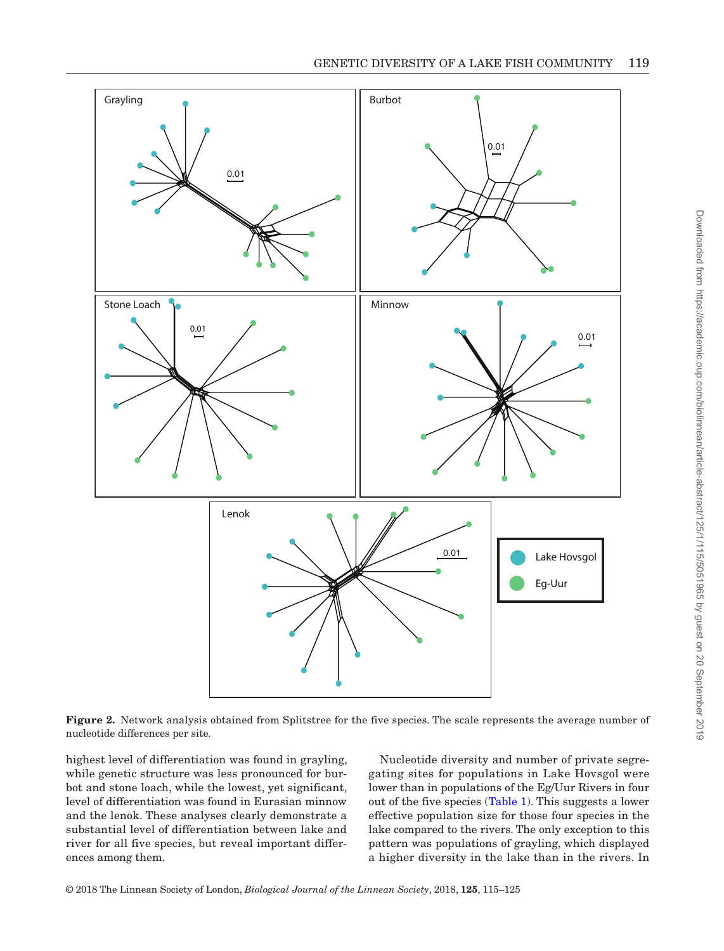

<span id="page-4-0"></span>**Figure 2.** Network analysis obtained from Splitstree for the five species. The scale represents the average number of nucleotide differences per site.

highest level of differentiation was found in grayling, while genetic structure was less pronounced for burbot and stone loach, while the lowest, yet significant, level of differentiation was found in Eurasian minnow and the lenok. These analyses clearly demonstrate a substantial level of differentiation between lake and river for all five species, but reveal important differences among them.

Nucleotide diversity and number of private segregating sites for populations in Lake Hovsgol were lower than in populations of the Eg/Uur Rivers in four out of the five species ([Table](#page-6-0) 1). This suggests a lower effective population size for those four species in the lake compared to the rivers. The only exception to this pattern was populations of grayling, which displayed a higher diversity in the lake than in the rivers. In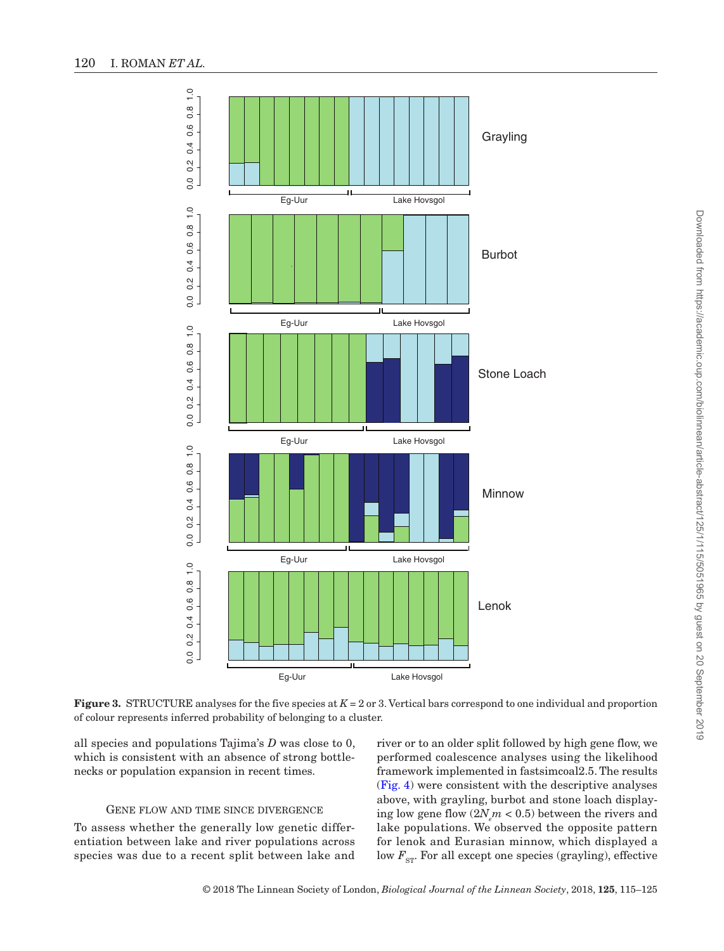

**Figure 3.** STRUCTURE analyses for the five species at  $K = 2$  or 3. Vertical bars correspond to one individual and proportion of colour represents inferred probability of belonging to a cluster.

all species and populations Tajima's *D* was close to 0, which is consistent with an absence of strong bottlenecks or population expansion in recent times.

#### GENE FLOW AND TIME SINCE DIVERGENCE

To assess whether the generally low genetic differentiation between lake and river populations across species was due to a recent split between lake and

<span id="page-5-0"></span>river or to an older split followed by high gene flow, we performed coalescence analyses using the likelihood framework implemented in fastsimcoal2.5. The results [\(Fig.](#page-6-1) 4) were consistent with the descriptive analyses above, with grayling, burbot and stone loach displaying low gene flow  $(2N_{e}m < 0.5)$  between the rivers and lake populations. We observed the opposite pattern for lenok and Eurasian minnow, which displayed a low  $F_{\text{ST}}$ . For all except one species (grayling), effective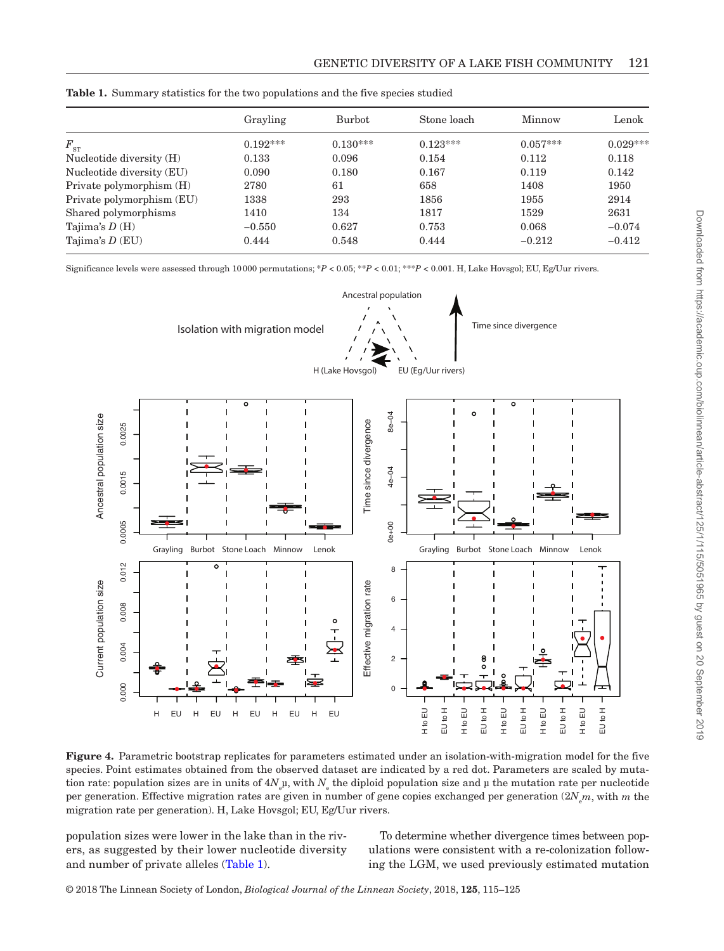|                           | Grayling   | <b>Burbot</b> | Stone loach | Minnow     | Lenok      |
|---------------------------|------------|---------------|-------------|------------|------------|
| $F_{\rm ST}$              | $0.192***$ | $0.130***$    | $0.123***$  | $0.057***$ | $0.029***$ |
| Nucleotide diversity (H)  | 0.133      | 0.096         | 0.154       | 0.112      | 0.118      |
| Nucleotide diversity (EU) | 0.090      | 0.180         | 0.167       | 0.119      | 0.142      |
| Private polymorphism (H)  | 2780       | 61            | 658         | 1408       | 1950       |
| Private polymorphism (EU) | 1338       | 293           | 1856        | 1955       | 2914       |
| Shared polymorphisms      | 1410       | 134           | 1817        | 1529       | 2631       |
| Tajima's $D(H)$           | $-0.550$   | 0.627         | 0.753       | 0.068      | $-0.074$   |
| Tajima's $D$ (EU)         | 0.444      | 0.548         | 0.444       | $-0.212$   | $-0.412$   |

<span id="page-6-0"></span>**Table 1.** Summary statistics for the two populations and the five species studied

Significance levels were assessed through 10000 permutations; \**P* < 0.05; \*\**P <* 0.01; \*\*\**P* < 0.001. H, Lake Hovsgol; EU, Eg/Uur rivers.



<span id="page-6-1"></span>**Figure 4.** Parametric bootstrap replicates for parameters estimated under an isolation-with-migration model for the five species. Point estimates obtained from the observed dataset are indicated by a red dot. Parameters are scaled by mutation rate: population sizes are in units of  $4N_{\rm e}$ µ, with  $N_{\rm e}$  the diploid population size and µ the mutation rate per nucleotide per generation. Effective migration rates are given in number of gene copies exchanged per generation (2*N*<sup>e</sup> *m*, with *m* the migration rate per generation). H, Lake Hovsgol; EU, Eg/Uur rivers.

population sizes were lower in the lake than in the rivers, as suggested by their lower nucleotide diversity and number of private alleles ([Table](#page-6-0) 1).

To determine whether divergence times between populations were consistent with a re-colonization following the LGM, we used previously estimated mutation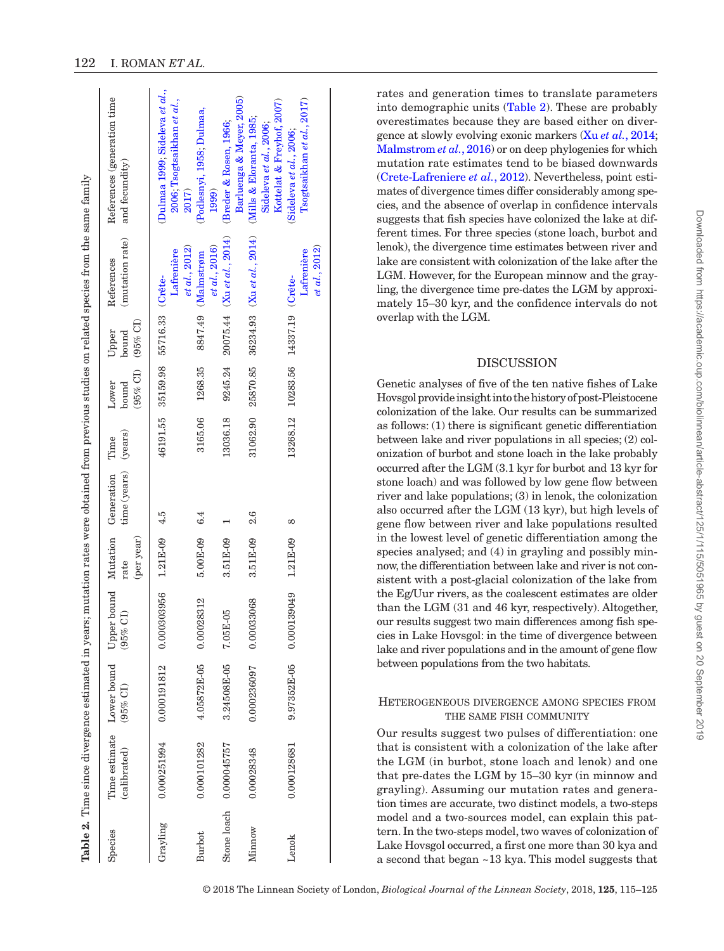|          |                                           |             |                                                                 |                    |                      |          |                                    |                              | Table 2. Time since divergence estimated in years; mutation rates were obtained from previous studies on related species from the same family |                                                                                 |
|----------|-------------------------------------------|-------------|-----------------------------------------------------------------|--------------------|----------------------|----------|------------------------------------|------------------------------|-----------------------------------------------------------------------------------------------------------------------------------------------|---------------------------------------------------------------------------------|
| Species  | Time estimate Lower bound<br>(calibrated) | $(95%$ CI)  | Upper bound Mutation Generation Time<br>$\widehat{\Xi}$<br>(95% | (per year)<br>rate | time (years) (years) |          | $(95%$ CI)<br>Lower<br>bound       | $(95%$ CI)<br>Upper<br>bound | (mutation rate)<br>References                                                                                                                 | References (generation time<br>and fecundity)                                   |
| Grayling | 0.000251994                               | 0.000191812 | 0.000303956                                                     | $1.21E-09$ 4.5     |                      |          | 46191.55 35159.98 55716.33 (Crete- |                              | et al., 2012)<br>Lafrenière                                                                                                                   | Dulmaa 1999; Sideleva et al.,<br>2006; Tsogtsaikhan et al.,<br>2017)            |
| Burbot   | 0.000101282                               | 4.05872E-05 | 0.00028312                                                      | $5.00E-09$         | 6.4                  | 3165.06  | 1268.35                            | 8847.49                      | et al., 2016)<br><b>Malmstrøm</b>                                                                                                             | (Podlesnyi, 1958; Dulmaa,<br>1999)                                              |
|          | Stone loach 0.000045757                   | 3.24508E-05 | 7.05E-05                                                        | 3.51E-09           |                      | 13036.18 |                                    |                              | 9245.24 20075.44 (Xu et al., 2014)                                                                                                            | Barluenga & Meyer, 2005)<br>(Breder & Rosen, 1966;                              |
| Minnow   | 0.00028348                                | 0.000236097 | 0.00033068                                                      | 3.51E-09 2.6       |                      |          |                                    |                              | 31062.90 25870.85 36234.93 (Xu et al., 2014)                                                                                                  | Kottelat & Freyhof, 2007)<br>(Mills & Eloranta, 1985;<br>Sideleva et al., 2006; |
| Lenok    | 0.000128681                               | 9.97352E-05 | $0.000139049$ 1.21 $E-09$                                       |                    | $\infty$             |          | 13268.12 10283.56 14337.19 (Crête- |                              | et al., 2012)<br>Lafrenière                                                                                                                   | Tsogtsaikhan et al., 2017)<br>(Sideleva et al., 2006;                           |

<span id="page-7-0"></span>© 2018 The Linnean Society of London, *Biological Journal of the Linnean Society*, 2018, **125**, 115–125

rates and generation times to translate parameters into demographic units [\(Table](#page-7-0) 2). These are probably overestimates because they are based either on divergence at slowly evolving exonic markers (Xu *et al.*[, 2014;](#page-10-14) [Malmstrom](#page-10-15) *et al.*, 2016) or on deep phylogenies for which mutation rate estimates tend to be biased downwards [\(Crete-Lafreniere](#page-9-12) *et al.*, 2012). Nevertheless, point estimates of divergence times differ considerably among species, and the absence of overlap in confidence intervals suggests that fish species have colonized the lake at different times. For three species (stone loach, burbot and lenok), the divergence time estimates between river and lake are consistent with colonization of the lake after the LGM. However, for the European minnow and the grayling, the divergence time pre-dates the LGM by approximately 15–30 kyr, and the confidence intervals do not overlap with the LGM.

## DISCUSSION

Genetic analyses of five of the ten native fishes of Lake Hovsgol provide insight into the history of post-Pleistocene colonization of the lake. Our results can be summarized as follows: (1) there is significant genetic differentiation between lake and river populations in all species; (2) colonization of burbot and stone loach in the lake probably occurred after the LGM (3.1 kyr for burbot and 13 kyr for stone loach) and was followed by low gene flow between river and lake populations; (3) in lenok, the colonization also occurred after the LGM (13 kyr), but high levels of gene flow between river and lake populations resulted in the lowest level of genetic differentiation among the species analysed; and (4) in grayling and possibly minnow, the differentiation between lake and river is not consistent with a post-glacial colonization of the lake from the Eg/Uur rivers, as the coalescent estimates are older than the LGM (31 and 46 kyr, respectively). Altogether, our results suggest two main differences among fish species in Lake Hovsgol: in the time of divergence between lake and river populations and in the amount of gene flow between populations from the two habitats.

## Heterogeneous divergence among species from THE SAME FISH COMMUNITY

Our results suggest two pulses of differentiation: one that is consistent with a colonization of the lake after the LGM (in burbot, stone loach and lenok) and one that pre-dates the LGM by 15–30 kyr (in minnow and grayling). Assuming our mutation rates and generation times are accurate, two distinct models, a two-steps model and a two-sources model, can explain this pattern. In the two-steps model, two waves of colonization of Lake Hovsgol occurred, a first one more than 30 kya and a second that began ~13 kya. This model suggests that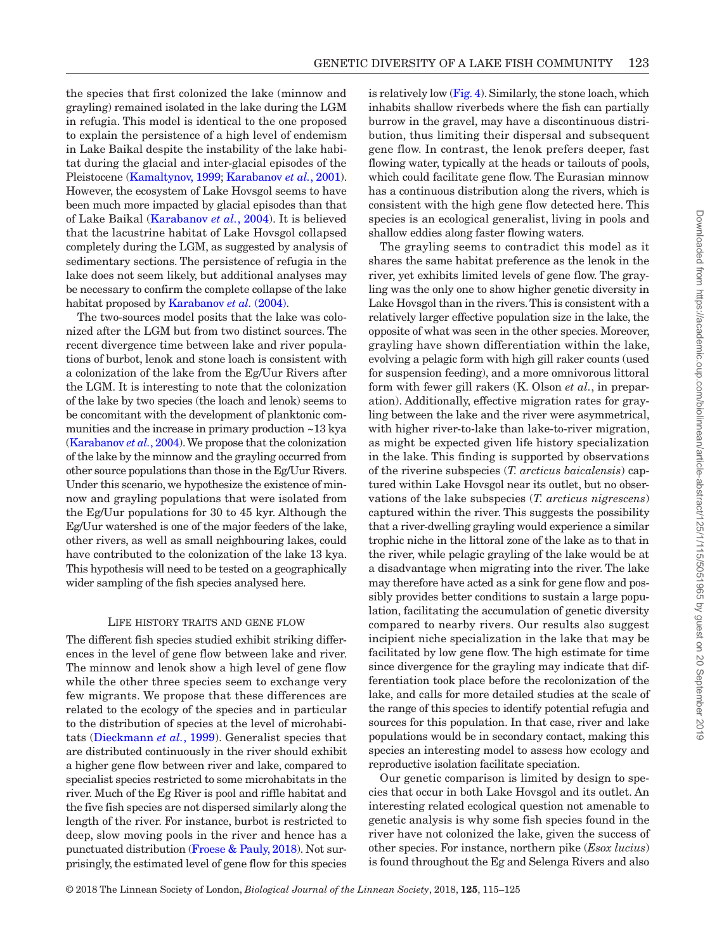the species that first colonized the lake (minnow and grayling) remained isolated in the lake during the LGM in refugia. This model is identical to the one proposed to explain the persistence of a high level of endemism in Lake Baikal despite the instability of the lake habitat during the glacial and inter-glacial episodes of the Pleistocene ([Kamaltynov, 1999;](#page-9-16) [Karabanov](#page-10-20) *et al.*, 2001). However, the ecosystem of Lake Hovsgol seems to have been much more impacted by glacial episodes than that of Lake Baikal ([Karabanov](#page-9-2) *et al.*, 2004). It is believed that the lacustrine habitat of Lake Hovsgol collapsed completely during the LGM, as suggested by analysis of sedimentary sections. The persistence of refugia in the lake does not seem likely, but additional analyses may be necessary to confirm the complete collapse of the lake habitat proposed by [Karabanov](#page-9-2) *et al.* (2004).

The two-sources model posits that the lake was colonized after the LGM but from two distinct sources. The recent divergence time between lake and river populations of burbot, lenok and stone loach is consistent with a colonization of the lake from the Eg/Uur Rivers after the LGM. It is interesting to note that the colonization of the lake by two species (the loach and lenok) seems to be concomitant with the development of planktonic communities and the increase in primary production ~13 kya [\(Karabanov](#page-9-2) *et al.*, 2004). We propose that the colonization of the lake by the minnow and the grayling occurred from other source populations than those in the Eg/Uur Rivers. Under this scenario, we hypothesize the existence of minnow and grayling populations that were isolated from the Eg/Uur populations for 30 to 45 kyr. Although the Eg/Uur watershed is one of the major feeders of the lake, other rivers, as well as small neighbouring lakes, could have contributed to the colonization of the lake 13 kya. This hypothesis will need to be tested on a geographically wider sampling of the fish species analysed here.

#### Life history traits and gene flow

The different fish species studied exhibit striking differences in the level of gene flow between lake and river. The minnow and lenok show a high level of gene flow while the other three species seem to exchange very few migrants. We propose that these differences are related to the ecology of the species and in particular to the distribution of species at the level of microhabitats [\(Dieckmann](#page-9-17) *et al.*, 1999). Generalist species that are distributed continuously in the river should exhibit a higher gene flow between river and lake, compared to specialist species restricted to some microhabitats in the river. Much of the Eg River is pool and riffle habitat and the five fish species are not dispersed similarly along the length of the river. For instance, burbot is restricted to deep, slow moving pools in the river and hence has a punctuated distribution [\(Froese & Pauly, 2018](#page-9-18)). Not surprisingly, the estimated level of gene flow for this species

is relatively low [\(Fig.](#page-6-1) 4). Similarly, the stone loach, which inhabits shallow riverbeds where the fish can partially burrow in the gravel, may have a discontinuous distribution, thus limiting their dispersal and subsequent gene flow. In contrast, the lenok prefers deeper, fast flowing water, typically at the heads or tailouts of pools, which could facilitate gene flow. The Eurasian minnow has a continuous distribution along the rivers, which is consistent with the high gene flow detected here. This species is an ecological generalist, living in pools and shallow eddies along faster flowing waters.

The grayling seems to contradict this model as it shares the same habitat preference as the lenok in the river, yet exhibits limited levels of gene flow. The grayling was the only one to show higher genetic diversity in Lake Hovsgol than in the rivers. This is consistent with a relatively larger effective population size in the lake, the opposite of what was seen in the other species. Moreover, grayling have shown differentiation within the lake, evolving a pelagic form with high gill raker counts (used for suspension feeding), and a more omnivorous littoral form with fewer gill rakers (K. Olson *et al.*, in preparation). Additionally, effective migration rates for grayling between the lake and the river were asymmetrical, with higher river-to-lake than lake-to-river migration, as might be expected given life history specialization in the lake. This finding is supported by observations of the riverine subspecies (*T. arcticus baicalensis*) captured within Lake Hovsgol near its outlet, but no observations of the lake subspecies (*T. arcticus nigrescens*) captured within the river. This suggests the possibility that a river-dwelling grayling would experience a similar trophic niche in the littoral zone of the lake as to that in the river, while pelagic grayling of the lake would be at a disadvantage when migrating into the river. The lake may therefore have acted as a sink for gene flow and possibly provides better conditions to sustain a large population, facilitating the accumulation of genetic diversity compared to nearby rivers. Our results also suggest incipient niche specialization in the lake that may be facilitated by low gene flow. The high estimate for time since divergence for the grayling may indicate that differentiation took place before the recolonization of the lake, and calls for more detailed studies at the scale of the range of this species to identify potential refugia and sources for this population. In that case, river and lake populations would be in secondary contact, making this species an interesting model to assess how ecology and reproductive isolation facilitate speciation.

Our genetic comparison is limited by design to species that occur in both Lake Hovsgol and its outlet. An interesting related ecological question not amenable to genetic analysis is why some fish species found in the river have not colonized the lake, given the success of other species. For instance, northern pike (*Esox lucius*) is found throughout the Eg and Selenga Rivers and also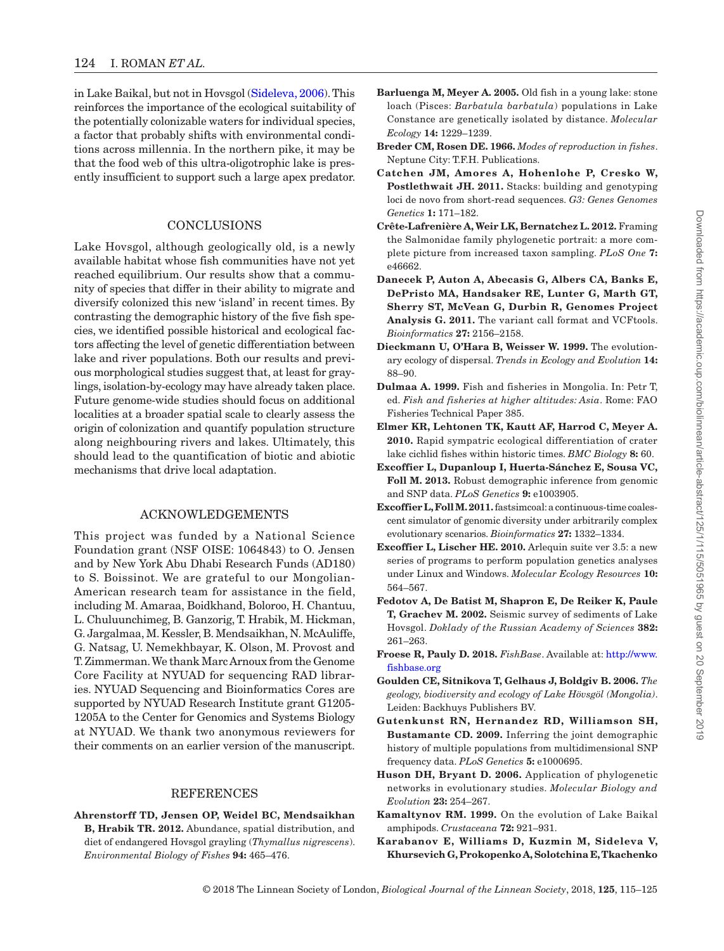in Lake Baikal, but not in Hovsgol ([Sideleva, 2006\)](#page-10-5). This reinforces the importance of the ecological suitability of the potentially colonizable waters for individual species, a factor that probably shifts with environmental conditions across millennia. In the northern pike, it may be that the food web of this ultra-oligotrophic lake is presently insufficient to support such a large apex predator.

## **CONCLUSIONS**

Lake Hovsgol, although geologically old, is a newly available habitat whose fish communities have not yet reached equilibrium. Our results show that a community of species that differ in their ability to migrate and diversify colonized this new 'island' in recent times. By contrasting the demographic history of the five fish species, we identified possible historical and ecological factors affecting the level of genetic differentiation between lake and river populations. Both our results and previous morphological studies suggest that, at least for graylings, isolation-by-ecology may have already taken place. Future genome-wide studies should focus on additional localities at a broader spatial scale to clearly assess the origin of colonization and quantify population structure along neighbouring rivers and lakes. Ultimately, this should lead to the quantification of biotic and abiotic mechanisms that drive local adaptation.

## ACKNOWLEDGEMENTS

This project was funded by a National Science Foundation grant (NSF OISE: 1064843) to O. Jensen and by New York Abu Dhabi Research Funds (AD180) to S. Boissinot. We are grateful to our Mongolian-American research team for assistance in the field, including M. Amaraa, Boidkhand, Boloroo, H. Chantuu, L. Chuluunchimeg, B. Ganzorig, T. Hrabik, M. Hickman, G. Jargalmaa, M. Kessler, B. Mendsaikhan, N. McAuliffe, G. Natsag, U. Nemekhbayar, K. Olson, M. Provost and T.Zimmerman. We thank Marc Arnoux from the Genome Core Facility at NYUAD for sequencing RAD libraries. NYUAD Sequencing and Bioinformatics Cores are supported by NYUAD Research Institute grant G1205- 1205A to the Center for Genomics and Systems Biology at NYUAD. We thank two anonymous reviewers for their comments on an earlier version of the manuscript.

### REFERENCES

<span id="page-9-4"></span>**Ahrenstorff TD, Jensen OP, Weidel BC, Mendsaikhan B, Hrabik TR. 2012.** Abundance, spatial distribution, and diet of endangered Hovsgol grayling (*Thymallus nigrescens*). *Environmental Biology of Fishes* **94:** 465–476.

- <span id="page-9-15"></span>**Barluenga M, Meyer A. 2005.** Old fish in a young lake: stone loach (Pisces: *Barbatula barbatula*) populations in Lake Constance are genetically isolated by distance. *Molecular Ecology* **14:** 1229–1239.
- <span id="page-9-14"></span>**Breder CM, Rosen DE. 1966.** *Modes of reproduction in fishes*. Neptune City: T.F.H. Publications.
- <span id="page-9-5"></span>**Catchen JM, Amores A, Hohenlohe P, Cresko W, Postlethwait JH. 2011.** Stacks: building and genotyping loci de novo from short-read sequences. *G3: Genes Genomes Genetics* **1:** 171–182.
- <span id="page-9-12"></span>**Crête-Lafrenière A, Weir LK, Bernatchez L. 2012.** Framing the Salmonidae family phylogenetic portrait: a more complete picture from increased taxon sampling. *PLoS One* **7:**  e46662.
- <span id="page-9-6"></span>**Danecek P, Auton A, Abecasis G, Albers CA, Banks E, DePristo MA, Handsaker RE, Lunter G, Marth GT, Sherry ST, McVean G, Durbin R, Genomes Project**  Analysis G. 2011. The variant call format and VCFtools. *Bioinformatics* **27:** 2156–2158.
- <span id="page-9-17"></span>**Dieckmann U, O'Hara B, Weisser W. 1999.** The evolutionary ecology of dispersal. *Trends in Ecology and Evolution* **14:**  88–90.
- <span id="page-9-13"></span>**Dulmaa A. 1999.** Fish and fisheries in Mongolia. In: Petr T, ed. *Fish and fisheries at higher altitudes: Asia*. Rome: FAO Fisheries Technical Paper 385.
- <span id="page-9-0"></span>**Elmer KR, Lehtonen TK, Kautt AF, Harrod C, Meyer A. 2010.** Rapid sympatric ecological differentiation of crater lake cichlid fishes within historic times. *BMC Biology* **8:** 60.
- <span id="page-9-10"></span>**Excoffier L, Dupanloup I, Huerta-Sánchez E, Sousa VC, Foll M. 2013.** Robust demographic inference from genomic and SNP data. *PLoS Genetics* **9:** e1003905.
- <span id="page-9-11"></span>**Excoffier L, Foll M. 2011.** fastsimcoal: a continuous-time coalescent simulator of genomic diversity under arbitrarily complex evolutionary scenarios. *Bioinformatics* **27:** 1332–1334.
- <span id="page-9-8"></span>**Excoffier L, Lischer HE. 2010.** Arlequin suite ver 3.5: a new series of programs to perform population genetics analyses under Linux and Windows. *Molecular Ecology Resources* **10:**  564–567.
- <span id="page-9-3"></span>**Fedotov A, De Batist M, Shapron E, De Reiker K, Paule T, Grachev M. 2002.** Seismic survey of sediments of Lake Hovsgol. *Doklady of the Russian Academy of Sciences* **382:**  261–263.
- <span id="page-9-18"></span>**Froese R, Pauly D. 2018.** *FishBase*. Available at: [http://www.](http://www.fishbase.org) [fishbase.org](http://www.fishbase.org)
- <span id="page-9-1"></span>**Goulden CE, Sitnikova T, Gelhaus J, Boldgiv B. 2006.** *The geology, biodiversity and ecology of Lake Hövsgöl (Mongolia)*. Leiden: Backhuys Publishers BV.
- <span id="page-9-9"></span>**Gutenkunst RN, Hernandez RD, Williamson SH, Bustamante CD. 2009.** Inferring the joint demographic history of multiple populations from multidimensional SNP frequency data. *PLoS Genetics* **5:** e1000695.
- <span id="page-9-7"></span>**Huson DH, Bryant D. 2006.** Application of phylogenetic networks in evolutionary studies. *Molecular Biology and Evolution* **23:** 254–267.
- <span id="page-9-16"></span>**Kamaltynov RM. 1999.** On the evolution of Lake Baikal amphipods. *Crustaceana* **72:** 921–931.
- <span id="page-9-2"></span>**Karabanov E, Williams D, Kuzmin M, Sideleva V, Khursevich G, Prokopenko A, Solotchina E, Tkachenko**